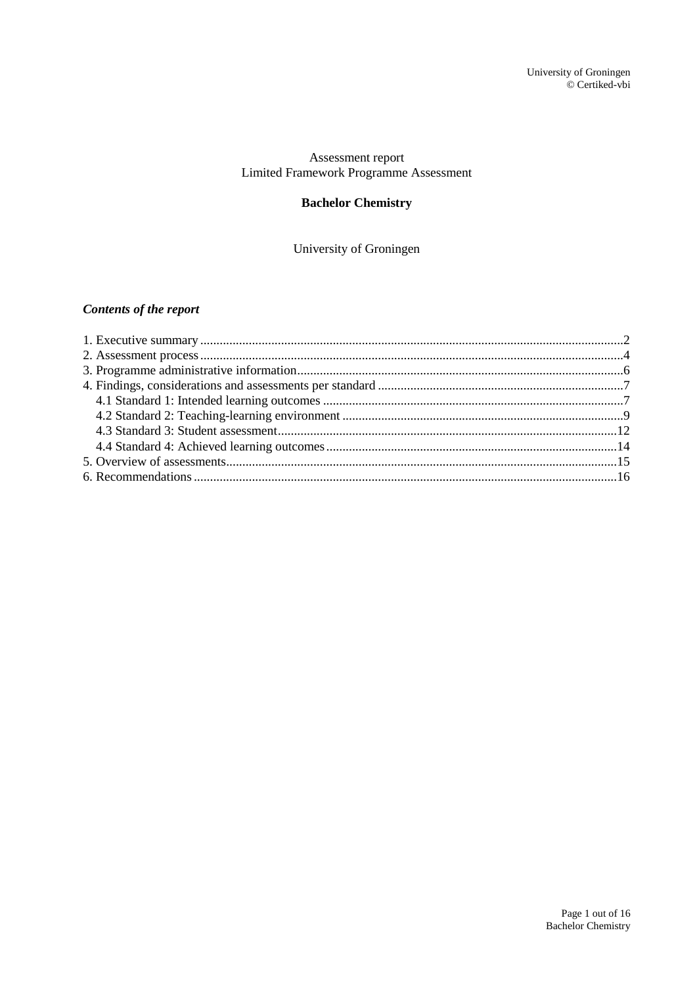### Assessment report Limited Framework Programme Assessment

# **Bachelor Chemistry**

### University of Groningen

# *Contents of the report*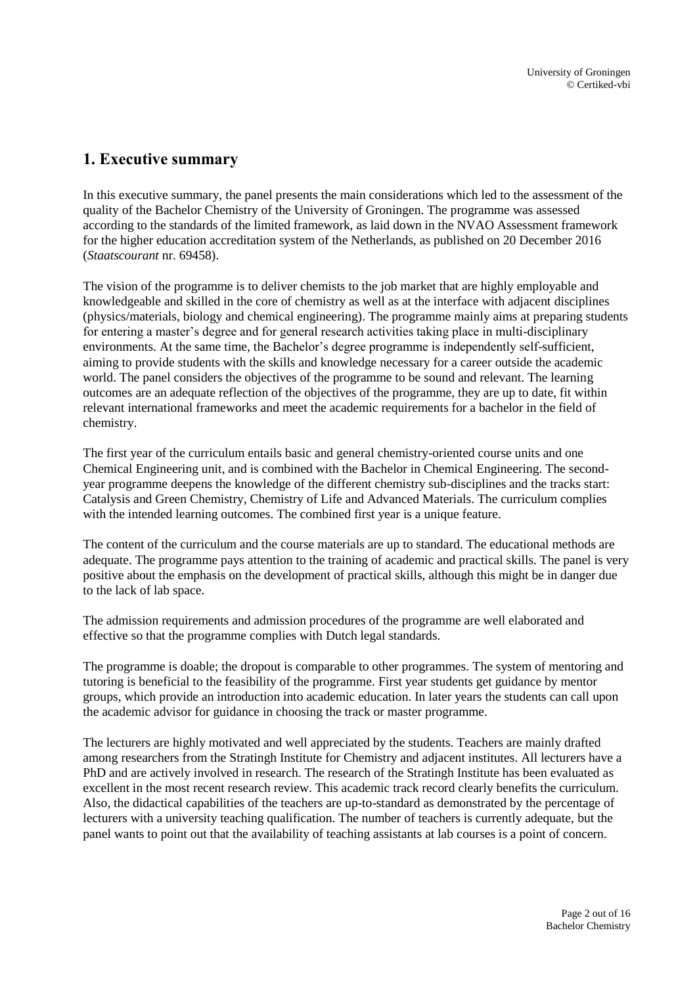# <span id="page-1-0"></span>**1. Executive summary**

In this executive summary, the panel presents the main considerations which led to the assessment of the quality of the Bachelor Chemistry of the University of Groningen. The programme was assessed according to the standards of the limited framework, as laid down in the NVAO Assessment framework for the higher education accreditation system of the Netherlands, as published on 20 December 2016 (*Staatscourant* nr. 69458).

The vision of the programme is to deliver chemists to the job market that are highly employable and knowledgeable and skilled in the core of chemistry as well as at the interface with adjacent disciplines (physics/materials, biology and chemical engineering). The programme mainly aims at preparing students for entering a master's degree and for general research activities taking place in multi-disciplinary environments. At the same time, the Bachelor's degree programme is independently self-sufficient, aiming to provide students with the skills and knowledge necessary for a career outside the academic world. The panel considers the objectives of the programme to be sound and relevant. The learning outcomes are an adequate reflection of the objectives of the programme, they are up to date, fit within relevant international frameworks and meet the academic requirements for a bachelor in the field of chemistry.

The first year of the curriculum entails basic and general chemistry-oriented course units and one Chemical Engineering unit, and is combined with the Bachelor in Chemical Engineering. The secondyear programme deepens the knowledge of the different chemistry sub-disciplines and the tracks start: Catalysis and Green Chemistry, Chemistry of Life and Advanced Materials. The curriculum complies with the intended learning outcomes. The combined first year is a unique feature.

The content of the curriculum and the course materials are up to standard. The educational methods are adequate. The programme pays attention to the training of academic and practical skills. The panel is very positive about the emphasis on the development of practical skills, although this might be in danger due to the lack of lab space.

The admission requirements and admission procedures of the programme are well elaborated and effective so that the programme complies with Dutch legal standards.

The programme is doable; the dropout is comparable to other programmes. The system of mentoring and tutoring is beneficial to the feasibility of the programme. First year students get guidance by mentor groups, which provide an introduction into academic education. In later years the students can call upon the academic advisor for guidance in choosing the track or master programme.

The lecturers are highly motivated and well appreciated by the students. Teachers are mainly drafted among researchers from the Stratingh Institute for Chemistry and adjacent institutes. All lecturers have a PhD and are actively involved in research. The research of the Stratingh Institute has been evaluated as excellent in the most recent research review. This academic track record clearly benefits the curriculum. Also, the didactical capabilities of the teachers are up-to-standard as demonstrated by the percentage of lecturers with a university teaching qualification. The number of teachers is currently adequate, but the panel wants to point out that the availability of teaching assistants at lab courses is a point of concern.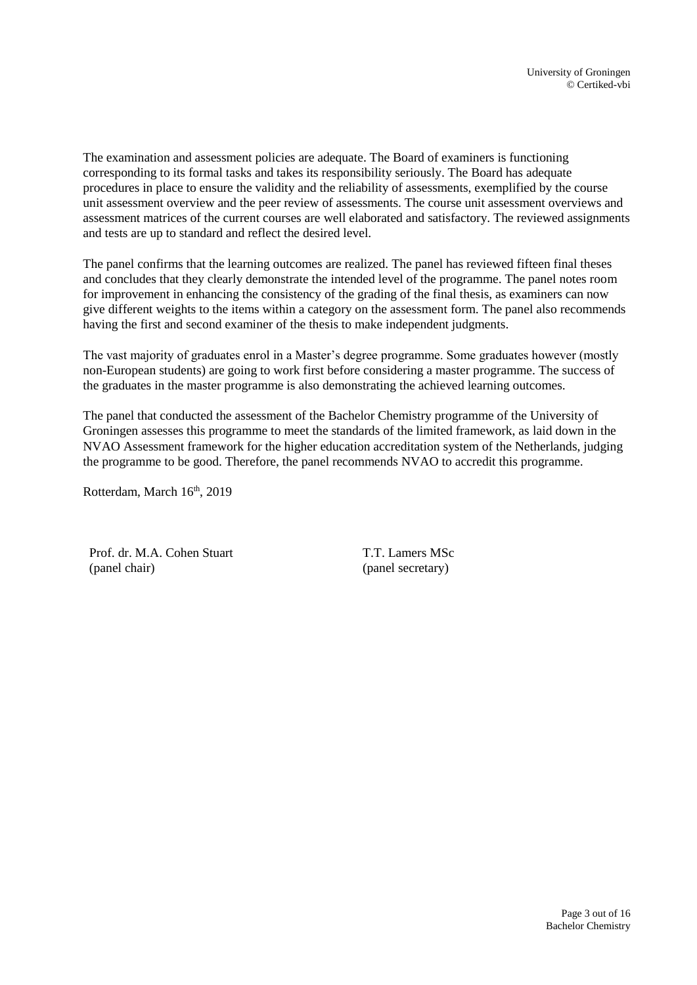The examination and assessment policies are adequate. The Board of examiners is functioning corresponding to its formal tasks and takes its responsibility seriously. The Board has adequate procedures in place to ensure the validity and the reliability of assessments, exemplified by the course unit assessment overview and the peer review of assessments. The course unit assessment overviews and assessment matrices of the current courses are well elaborated and satisfactory. The reviewed assignments and tests are up to standard and reflect the desired level.

The panel confirms that the learning outcomes are realized. The panel has reviewed fifteen final theses and concludes that they clearly demonstrate the intended level of the programme. The panel notes room for improvement in enhancing the consistency of the grading of the final thesis, as examiners can now give different weights to the items within a category on the assessment form. The panel also recommends having the first and second examiner of the thesis to make independent judgments.

The vast majority of graduates enrol in a Master's degree programme. Some graduates however (mostly non-European students) are going to work first before considering a master programme. The success of the graduates in the master programme is also demonstrating the achieved learning outcomes.

The panel that conducted the assessment of the Bachelor Chemistry programme of the University of Groningen assesses this programme to meet the standards of the limited framework, as laid down in the NVAO Assessment framework for the higher education accreditation system of the Netherlands, judging the programme to be good. Therefore, the panel recommends NVAO to accredit this programme.

Rotterdam, March 16<sup>th</sup>, 2019

Prof. dr. M.A. Cohen Stuart (panel chair)

T.T. Lamers MSc (panel secretary)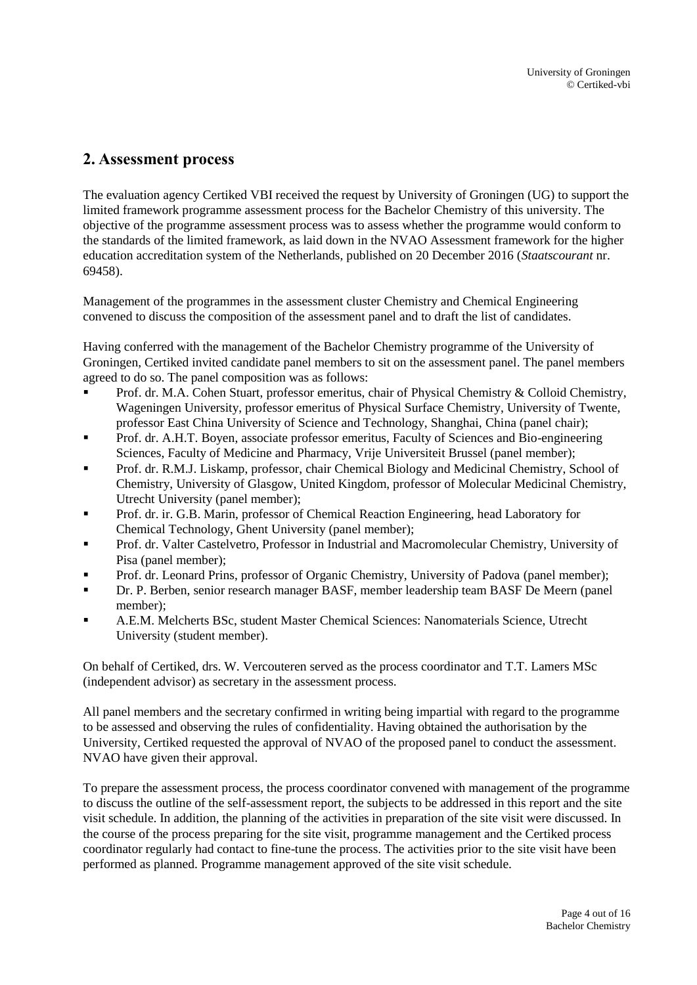# <span id="page-3-0"></span>**2. Assessment process**

The evaluation agency Certiked VBI received the request by University of Groningen (UG) to support the limited framework programme assessment process for the Bachelor Chemistry of this university. The objective of the programme assessment process was to assess whether the programme would conform to the standards of the limited framework, as laid down in the NVAO Assessment framework for the higher education accreditation system of the Netherlands, published on 20 December 2016 (*Staatscourant* nr. 69458).

Management of the programmes in the assessment cluster Chemistry and Chemical Engineering convened to discuss the composition of the assessment panel and to draft the list of candidates.

Having conferred with the management of the Bachelor Chemistry programme of the University of Groningen, Certiked invited candidate panel members to sit on the assessment panel. The panel members agreed to do so. The panel composition was as follows:

- Prof. dr. M.A. Cohen Stuart, professor emeritus, chair of Physical Chemistry & Colloid Chemistry, Wageningen University, professor emeritus of Physical Surface Chemistry, University of Twente, professor East China University of Science and Technology, Shanghai, China (panel chair);
- Prof. dr. A.H.T. Boyen, associate professor emeritus, Faculty of Sciences and Bio-engineering Sciences, Faculty of Medicine and Pharmacy, Vrije Universiteit Brussel (panel member);
- Prof. dr. R.M.J. Liskamp, professor, chair Chemical Biology and Medicinal Chemistry, School of Chemistry, University of Glasgow, United Kingdom, professor of Molecular Medicinal Chemistry, Utrecht University (panel member);
- Prof. dr. ir. G.B. Marin, professor of Chemical Reaction Engineering, head Laboratory for Chemical Technology, Ghent University (panel member);
- Prof. dr. Valter Castelvetro, Professor in Industrial and Macromolecular Chemistry, University of Pisa (panel member);
- Prof. dr. Leonard Prins, professor of Organic Chemistry, University of Padova (panel member);
- Dr. P. Berben, senior research manager BASF, member leadership team BASF De Meern (panel member);
- A.E.M. Melcherts BSc, student Master Chemical Sciences: Nanomaterials Science, Utrecht University (student member).

On behalf of Certiked, drs. W. Vercouteren served as the process coordinator and T.T. Lamers MSc (independent advisor) as secretary in the assessment process.

All panel members and the secretary confirmed in writing being impartial with regard to the programme to be assessed and observing the rules of confidentiality. Having obtained the authorisation by the University, Certiked requested the approval of NVAO of the proposed panel to conduct the assessment. NVAO have given their approval.

To prepare the assessment process, the process coordinator convened with management of the programme to discuss the outline of the self-assessment report, the subjects to be addressed in this report and the site visit schedule. In addition, the planning of the activities in preparation of the site visit were discussed. In the course of the process preparing for the site visit, programme management and the Certiked process coordinator regularly had contact to fine-tune the process. The activities prior to the site visit have been performed as planned. Programme management approved of the site visit schedule.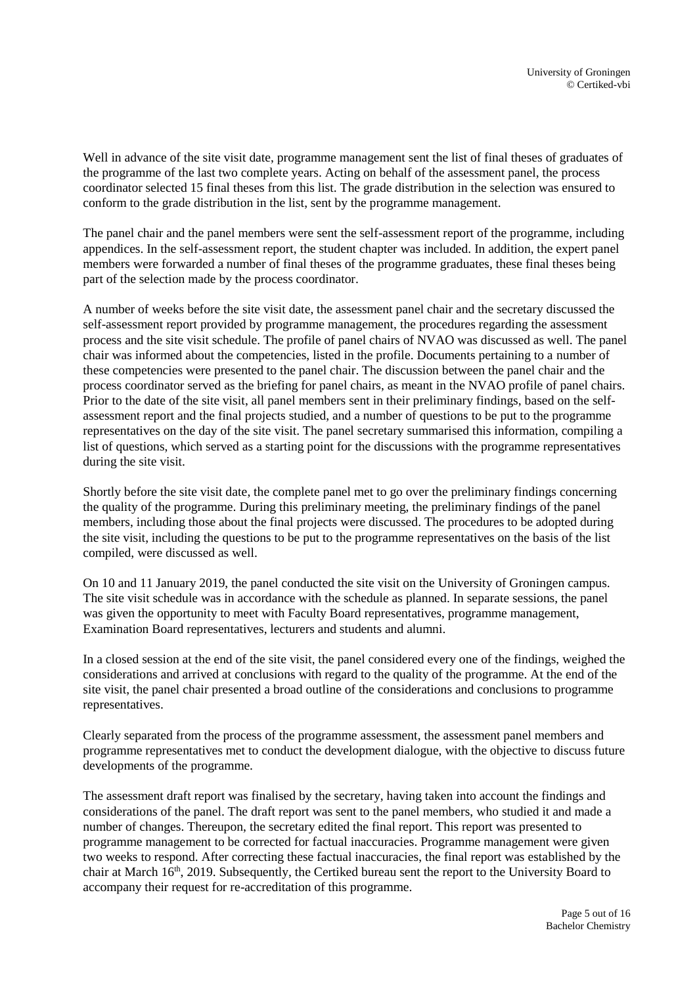Well in advance of the site visit date, programme management sent the list of final theses of graduates of the programme of the last two complete years. Acting on behalf of the assessment panel, the process coordinator selected 15 final theses from this list. The grade distribution in the selection was ensured to conform to the grade distribution in the list, sent by the programme management.

The panel chair and the panel members were sent the self-assessment report of the programme, including appendices. In the self-assessment report, the student chapter was included. In addition, the expert panel members were forwarded a number of final theses of the programme graduates, these final theses being part of the selection made by the process coordinator.

A number of weeks before the site visit date, the assessment panel chair and the secretary discussed the self-assessment report provided by programme management, the procedures regarding the assessment process and the site visit schedule. The profile of panel chairs of NVAO was discussed as well. The panel chair was informed about the competencies, listed in the profile. Documents pertaining to a number of these competencies were presented to the panel chair. The discussion between the panel chair and the process coordinator served as the briefing for panel chairs, as meant in the NVAO profile of panel chairs. Prior to the date of the site visit, all panel members sent in their preliminary findings, based on the selfassessment report and the final projects studied, and a number of questions to be put to the programme representatives on the day of the site visit. The panel secretary summarised this information, compiling a list of questions, which served as a starting point for the discussions with the programme representatives during the site visit.

Shortly before the site visit date, the complete panel met to go over the preliminary findings concerning the quality of the programme. During this preliminary meeting, the preliminary findings of the panel members, including those about the final projects were discussed. The procedures to be adopted during the site visit, including the questions to be put to the programme representatives on the basis of the list compiled, were discussed as well.

On 10 and 11 January 2019, the panel conducted the site visit on the University of Groningen campus. The site visit schedule was in accordance with the schedule as planned. In separate sessions, the panel was given the opportunity to meet with Faculty Board representatives, programme management, Examination Board representatives, lecturers and students and alumni.

In a closed session at the end of the site visit, the panel considered every one of the findings, weighed the considerations and arrived at conclusions with regard to the quality of the programme. At the end of the site visit, the panel chair presented a broad outline of the considerations and conclusions to programme representatives.

Clearly separated from the process of the programme assessment, the assessment panel members and programme representatives met to conduct the development dialogue, with the objective to discuss future developments of the programme.

The assessment draft report was finalised by the secretary, having taken into account the findings and considerations of the panel. The draft report was sent to the panel members, who studied it and made a number of changes. Thereupon, the secretary edited the final report. This report was presented to programme management to be corrected for factual inaccuracies. Programme management were given two weeks to respond. After correcting these factual inaccuracies, the final report was established by the chair at March 16<sup>th</sup>, 2019. Subsequently, the Certiked bureau sent the report to the University Board to accompany their request for re-accreditation of this programme.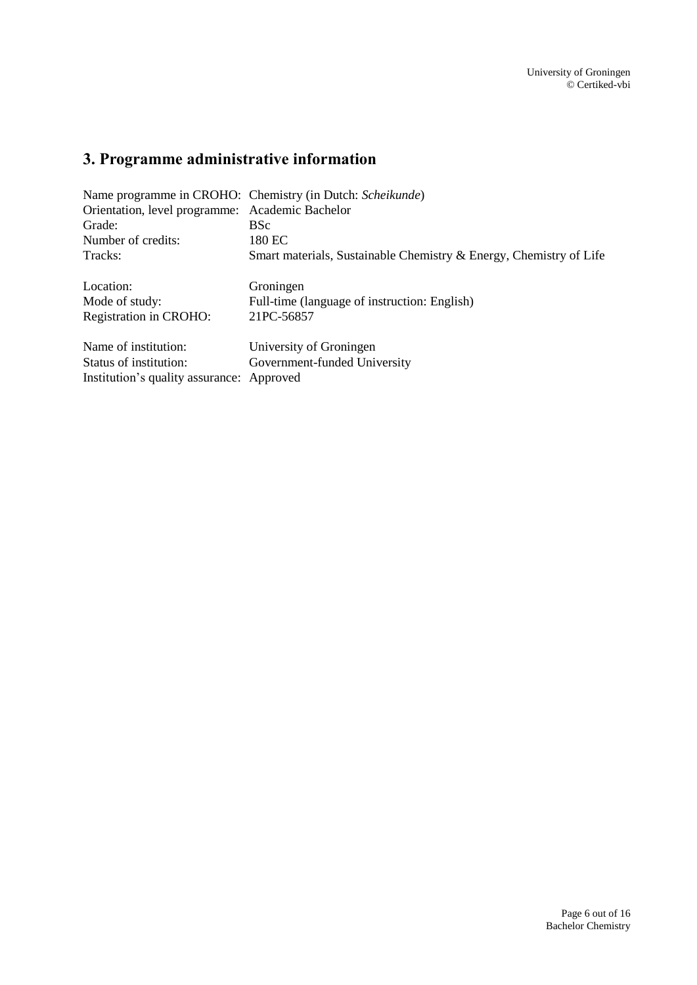# <span id="page-5-0"></span>**3. Programme administrative information**

|                                                 | Name programme in CROHO: Chemistry (in Dutch: Scheikunde)          |
|-------------------------------------------------|--------------------------------------------------------------------|
| Orientation, level programme: Academic Bachelor |                                                                    |
| Grade:                                          | <b>BSc</b>                                                         |
| Number of credits:                              | 180 EC                                                             |
| Tracks:                                         | Smart materials, Sustainable Chemistry & Energy, Chemistry of Life |
| Location:                                       | Groningen                                                          |
| Mode of study:                                  | Full-time (language of instruction: English)                       |
| Registration in CROHO:                          | 21PC-56857                                                         |
| Name of institution:                            | University of Groningen                                            |
| Status of institution:                          | Government-funded University                                       |
| Institution's quality assurance: Approved       |                                                                    |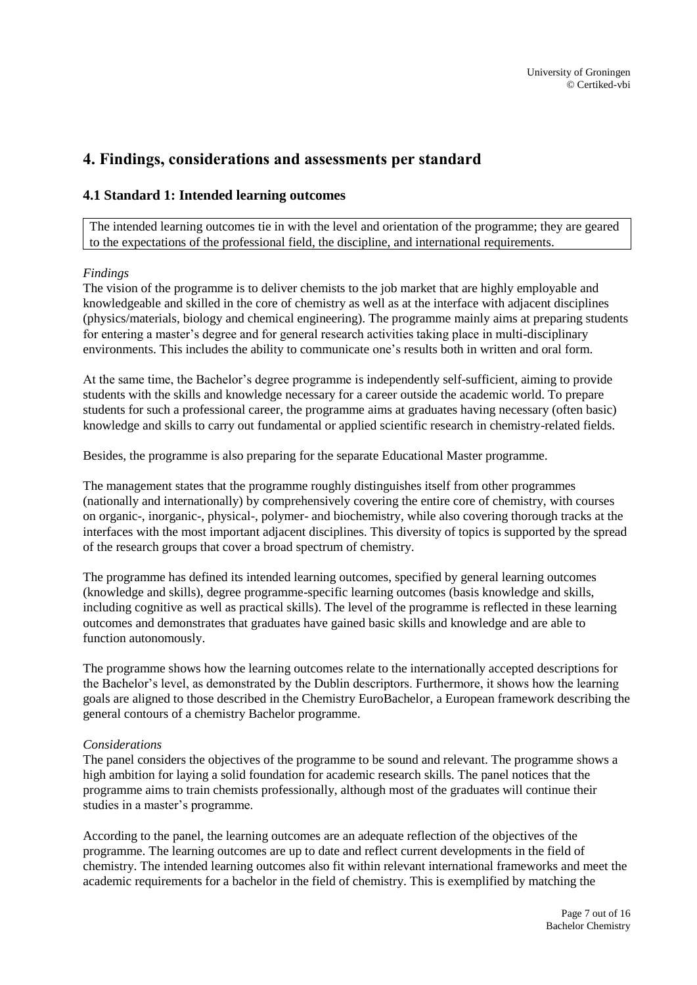# <span id="page-6-0"></span>**4. Findings, considerations and assessments per standard**

## <span id="page-6-1"></span>**4.1 Standard 1: Intended learning outcomes**

The intended learning outcomes tie in with the level and orientation of the programme; they are geared to the expectations of the professional field, the discipline, and international requirements.

#### *Findings*

The vision of the programme is to deliver chemists to the job market that are highly employable and knowledgeable and skilled in the core of chemistry as well as at the interface with adjacent disciplines (physics/materials, biology and chemical engineering). The programme mainly aims at preparing students for entering a master's degree and for general research activities taking place in multi-disciplinary environments. This includes the ability to communicate one's results both in written and oral form.

At the same time, the Bachelor's degree programme is independently self-sufficient, aiming to provide students with the skills and knowledge necessary for a career outside the academic world. To prepare students for such a professional career, the programme aims at graduates having necessary (often basic) knowledge and skills to carry out fundamental or applied scientific research in chemistry-related fields.

Besides, the programme is also preparing for the separate Educational Master programme.

The management states that the programme roughly distinguishes itself from other programmes (nationally and internationally) by comprehensively covering the entire core of chemistry, with courses on organic-, inorganic-, physical-, polymer- and biochemistry, while also covering thorough tracks at the interfaces with the most important adjacent disciplines. This diversity of topics is supported by the spread of the research groups that cover a broad spectrum of chemistry.

The programme has defined its intended learning outcomes, specified by general learning outcomes (knowledge and skills), degree programme-specific learning outcomes (basis knowledge and skills, including cognitive as well as practical skills). The level of the programme is reflected in these learning outcomes and demonstrates that graduates have gained basic skills and knowledge and are able to function autonomously.

The programme shows how the learning outcomes relate to the internationally accepted descriptions for the Bachelor's level, as demonstrated by the Dublin descriptors. Furthermore, it shows how the learning goals are aligned to those described in the Chemistry EuroBachelor, a European framework describing the general contours of a chemistry Bachelor programme.

#### *Considerations*

The panel considers the objectives of the programme to be sound and relevant. The programme shows a high ambition for laying a solid foundation for academic research skills. The panel notices that the programme aims to train chemists professionally, although most of the graduates will continue their studies in a master's programme.

According to the panel, the learning outcomes are an adequate reflection of the objectives of the programme. The learning outcomes are up to date and reflect current developments in the field of chemistry. The intended learning outcomes also fit within relevant international frameworks and meet the academic requirements for a bachelor in the field of chemistry. This is exemplified by matching the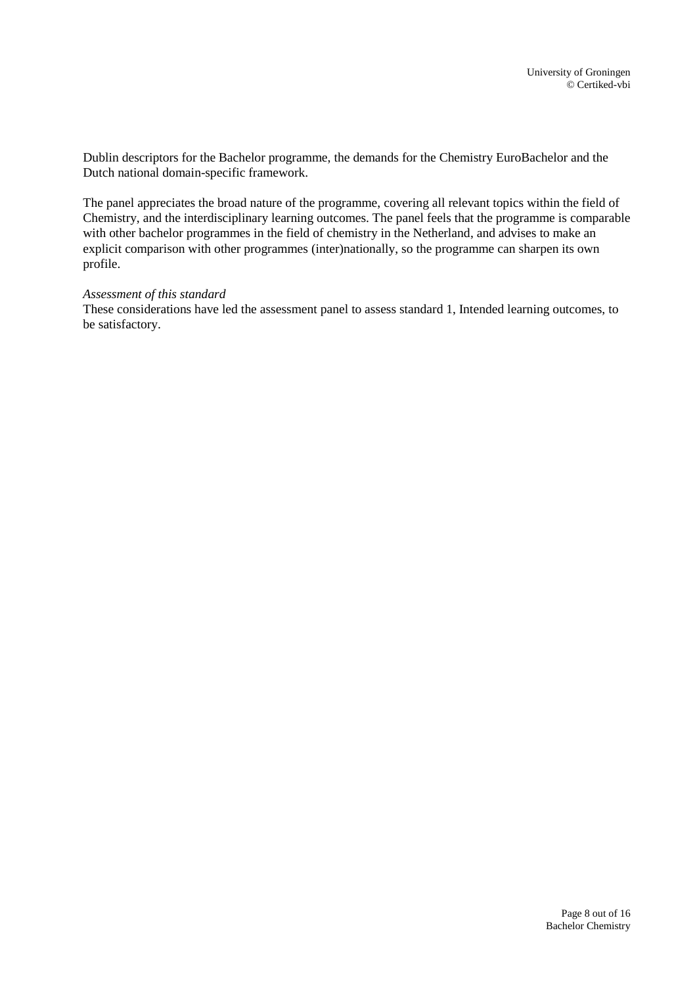Dublin descriptors for the Bachelor programme, the demands for the Chemistry EuroBachelor and the Dutch national domain-specific framework.

The panel appreciates the broad nature of the programme, covering all relevant topics within the field of Chemistry, and the interdisciplinary learning outcomes. The panel feels that the programme is comparable with other bachelor programmes in the field of chemistry in the Netherland, and advises to make an explicit comparison with other programmes (inter)nationally, so the programme can sharpen its own profile.

#### *Assessment of this standard*

These considerations have led the assessment panel to assess standard 1, Intended learning outcomes, to be satisfactory.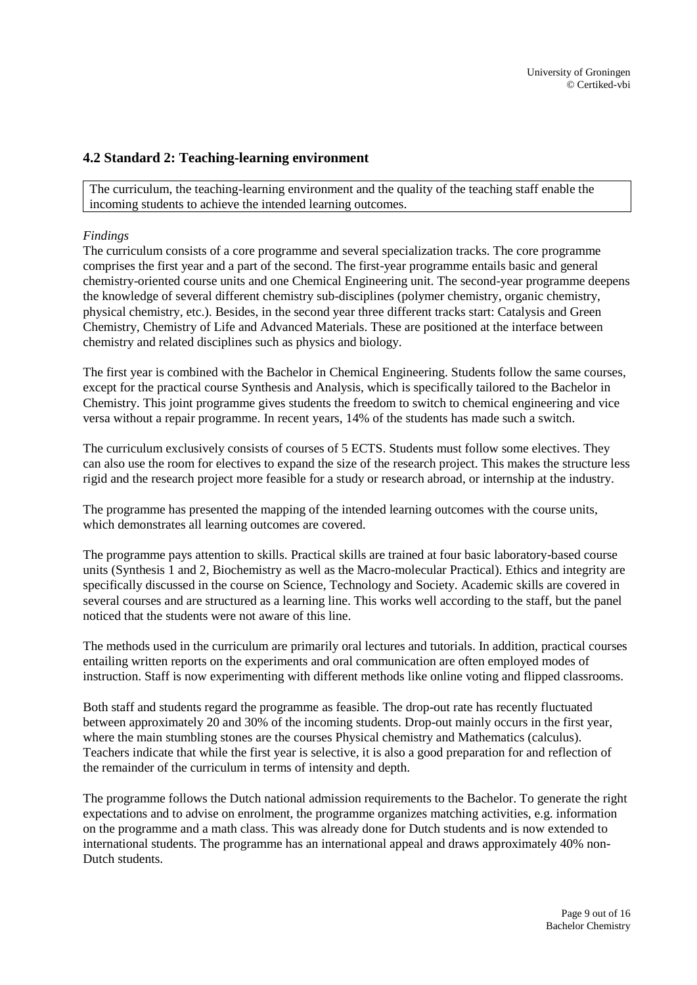## <span id="page-8-0"></span>**4.2 Standard 2: Teaching-learning environment**

The curriculum, the teaching-learning environment and the quality of the teaching staff enable the incoming students to achieve the intended learning outcomes.

#### *Findings*

The curriculum consists of a core programme and several specialization tracks. The core programme comprises the first year and a part of the second. The first-year programme entails basic and general chemistry-oriented course units and one Chemical Engineering unit. The second-year programme deepens the knowledge of several different chemistry sub-disciplines (polymer chemistry, organic chemistry, physical chemistry, etc.). Besides, in the second year three different tracks start: Catalysis and Green Chemistry, Chemistry of Life and Advanced Materials. These are positioned at the interface between chemistry and related disciplines such as physics and biology.

The first year is combined with the Bachelor in Chemical Engineering. Students follow the same courses, except for the practical course Synthesis and Analysis, which is specifically tailored to the Bachelor in Chemistry. This joint programme gives students the freedom to switch to chemical engineering and vice versa without a repair programme. In recent years, 14% of the students has made such a switch.

The curriculum exclusively consists of courses of 5 ECTS. Students must follow some electives. They can also use the room for electives to expand the size of the research project. This makes the structure less rigid and the research project more feasible for a study or research abroad, or internship at the industry.

The programme has presented the mapping of the intended learning outcomes with the course units, which demonstrates all learning outcomes are covered.

The programme pays attention to skills. Practical skills are trained at four basic laboratory-based course units (Synthesis 1 and 2, Biochemistry as well as the Macro-molecular Practical). Ethics and integrity are specifically discussed in the course on Science, Technology and Society. Academic skills are covered in several courses and are structured as a learning line. This works well according to the staff, but the panel noticed that the students were not aware of this line.

The methods used in the curriculum are primarily oral lectures and tutorials. In addition, practical courses entailing written reports on the experiments and oral communication are often employed modes of instruction. Staff is now experimenting with different methods like online voting and flipped classrooms.

Both staff and students regard the programme as feasible. The drop-out rate has recently fluctuated between approximately 20 and 30% of the incoming students. Drop-out mainly occurs in the first year, where the main stumbling stones are the courses Physical chemistry and Mathematics (calculus). Teachers indicate that while the first year is selective, it is also a good preparation for and reflection of the remainder of the curriculum in terms of intensity and depth.

The programme follows the Dutch national admission requirements to the Bachelor. To generate the right expectations and to advise on enrolment, the programme organizes matching activities, e.g. information on the programme and a math class. This was already done for Dutch students and is now extended to international students. The programme has an international appeal and draws approximately 40% non-Dutch students.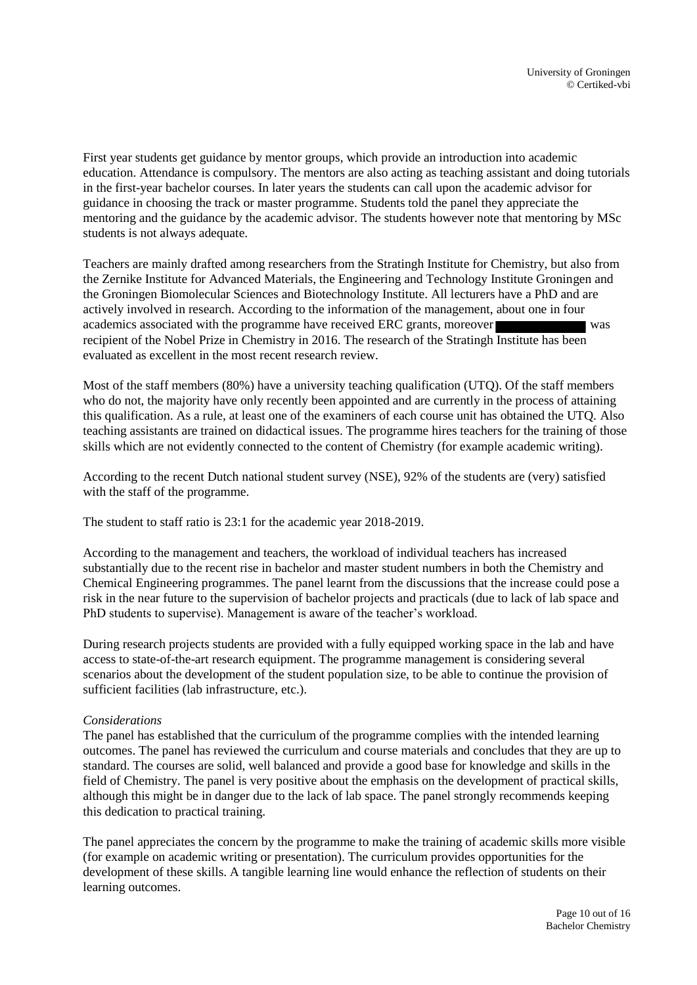First year students get guidance by mentor groups, which provide an introduction into academic education. Attendance is compulsory. The mentors are also acting as teaching assistant and doing tutorials in the first-year bachelor courses. In later years the students can call upon the academic advisor for guidance in choosing the track or master programme. Students told the panel they appreciate the mentoring and the guidance by the academic advisor. The students however note that mentoring by MSc students is not always adequate.

Teachers are mainly drafted among researchers from the Stratingh Institute for Chemistry, but also from the Zernike Institute for Advanced Materials, the Engineering and Technology Institute Groningen and the Groningen Biomolecular Sciences and Biotechnology Institute. All lecturers have a PhD and are actively involved in research. According to the information of the management, about one in four academics associated with the programme have received ERC grants, moreover recipient of the Nobel Prize in Chemistry in 2016. The research of the Stratingh Institute has been evaluated as excellent in the most recent research review.

Most of the staff members (80%) have a university teaching qualification (UTQ). Of the staff members who do not, the majority have only recently been appointed and are currently in the process of attaining this qualification. As a rule, at least one of the examiners of each course unit has obtained the UTQ. Also teaching assistants are trained on didactical issues. The programme hires teachers for the training of those skills which are not evidently connected to the content of Chemistry (for example academic writing).

According to the recent Dutch national student survey (NSE), 92% of the students are (very) satisfied with the staff of the programme.

The student to staff ratio is 23:1 for the academic year 2018-2019.

According to the management and teachers, the workload of individual teachers has increased substantially due to the recent rise in bachelor and master student numbers in both the Chemistry and Chemical Engineering programmes. The panel learnt from the discussions that the increase could pose a risk in the near future to the supervision of bachelor projects and practicals (due to lack of lab space and PhD students to supervise). Management is aware of the teacher's workload.

During research projects students are provided with a fully equipped working space in the lab and have access to state-of-the-art research equipment. The programme management is considering several scenarios about the development of the student population size, to be able to continue the provision of sufficient facilities (lab infrastructure, etc.).

#### *Considerations*

The panel has established that the curriculum of the programme complies with the intended learning outcomes. The panel has reviewed the curriculum and course materials and concludes that they are up to standard. The courses are solid, well balanced and provide a good base for knowledge and skills in the field of Chemistry. The panel is very positive about the emphasis on the development of practical skills, although this might be in danger due to the lack of lab space. The panel strongly recommends keeping this dedication to practical training.

The panel appreciates the concern by the programme to make the training of academic skills more visible (for example on academic writing or presentation). The curriculum provides opportunities for the development of these skills. A tangible learning line would enhance the reflection of students on their learning outcomes.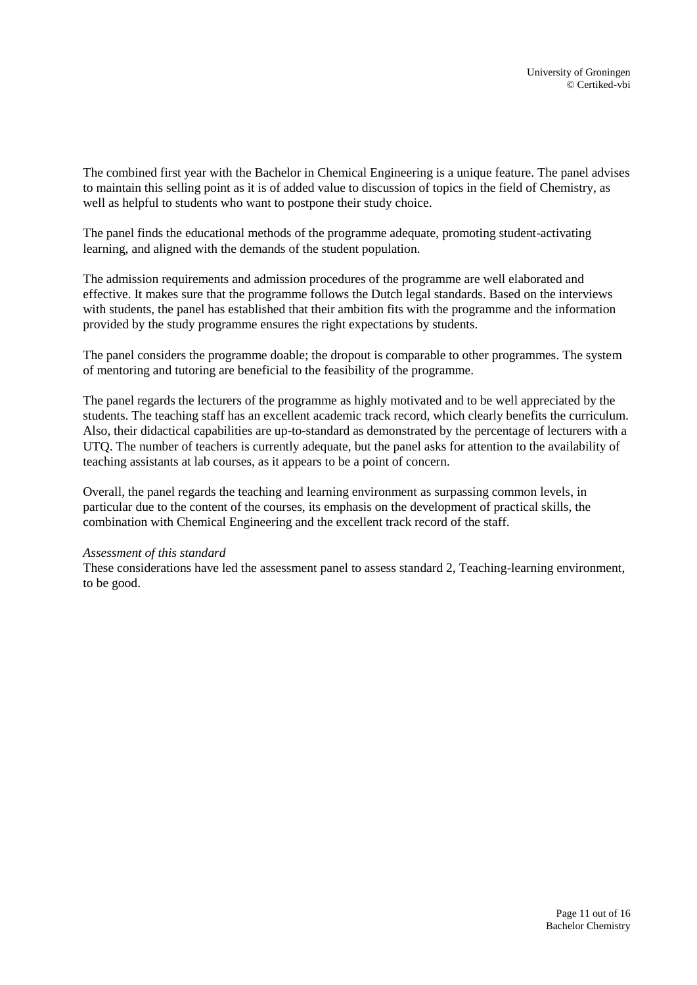The combined first year with the Bachelor in Chemical Engineering is a unique feature. The panel advises to maintain this selling point as it is of added value to discussion of topics in the field of Chemistry, as well as helpful to students who want to postpone their study choice.

The panel finds the educational methods of the programme adequate, promoting student-activating learning, and aligned with the demands of the student population.

The admission requirements and admission procedures of the programme are well elaborated and effective. It makes sure that the programme follows the Dutch legal standards. Based on the interviews with students, the panel has established that their ambition fits with the programme and the information provided by the study programme ensures the right expectations by students.

The panel considers the programme doable; the dropout is comparable to other programmes. The system of mentoring and tutoring are beneficial to the feasibility of the programme.

The panel regards the lecturers of the programme as highly motivated and to be well appreciated by the students. The teaching staff has an excellent academic track record, which clearly benefits the curriculum. Also, their didactical capabilities are up-to-standard as demonstrated by the percentage of lecturers with a UTQ. The number of teachers is currently adequate, but the panel asks for attention to the availability of teaching assistants at lab courses, as it appears to be a point of concern.

Overall, the panel regards the teaching and learning environment as surpassing common levels, in particular due to the content of the courses, its emphasis on the development of practical skills, the combination with Chemical Engineering and the excellent track record of the staff.

#### *Assessment of this standard*

These considerations have led the assessment panel to assess standard 2, Teaching-learning environment, to be good.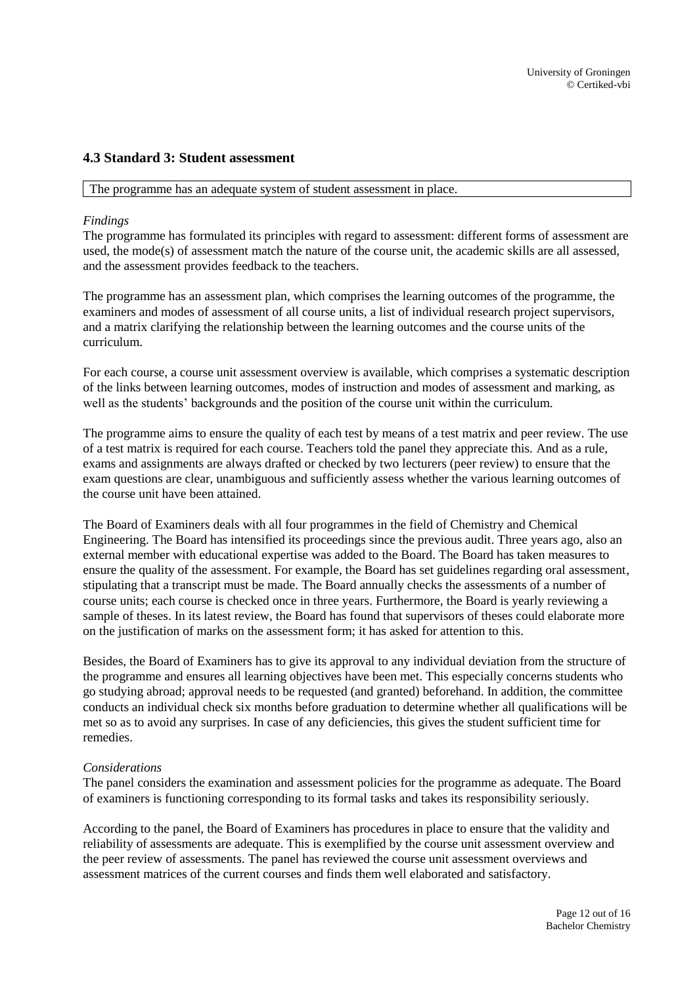### <span id="page-11-0"></span>**4.3 Standard 3: Student assessment**

The programme has an adequate system of student assessment in place.

#### *Findings*

The programme has formulated its principles with regard to assessment: different forms of assessment are used, the mode(s) of assessment match the nature of the course unit, the academic skills are all assessed, and the assessment provides feedback to the teachers.

The programme has an assessment plan, which comprises the learning outcomes of the programme, the examiners and modes of assessment of all course units, a list of individual research project supervisors, and a matrix clarifying the relationship between the learning outcomes and the course units of the curriculum.

For each course, a course unit assessment overview is available, which comprises a systematic description of the links between learning outcomes, modes of instruction and modes of assessment and marking, as well as the students' backgrounds and the position of the course unit within the curriculum.

The programme aims to ensure the quality of each test by means of a test matrix and peer review. The use of a test matrix is required for each course. Teachers told the panel they appreciate this. And as a rule, exams and assignments are always drafted or checked by two lecturers (peer review) to ensure that the exam questions are clear, unambiguous and sufficiently assess whether the various learning outcomes of the course unit have been attained.

The Board of Examiners deals with all four programmes in the field of Chemistry and Chemical Engineering. The Board has intensified its proceedings since the previous audit. Three years ago, also an external member with educational expertise was added to the Board. The Board has taken measures to ensure the quality of the assessment. For example, the Board has set guidelines regarding oral assessment, stipulating that a transcript must be made. The Board annually checks the assessments of a number of course units; each course is checked once in three years. Furthermore, the Board is yearly reviewing a sample of theses. In its latest review, the Board has found that supervisors of theses could elaborate more on the justification of marks on the assessment form; it has asked for attention to this.

Besides, the Board of Examiners has to give its approval to any individual deviation from the structure of the programme and ensures all learning objectives have been met. This especially concerns students who go studying abroad; approval needs to be requested (and granted) beforehand. In addition, the committee conducts an individual check six months before graduation to determine whether all qualifications will be met so as to avoid any surprises. In case of any deficiencies, this gives the student sufficient time for remedies.

#### *Considerations*

The panel considers the examination and assessment policies for the programme as adequate. The Board of examiners is functioning corresponding to its formal tasks and takes its responsibility seriously.

According to the panel, the Board of Examiners has procedures in place to ensure that the validity and reliability of assessments are adequate. This is exemplified by the course unit assessment overview and the peer review of assessments. The panel has reviewed the course unit assessment overviews and assessment matrices of the current courses and finds them well elaborated and satisfactory.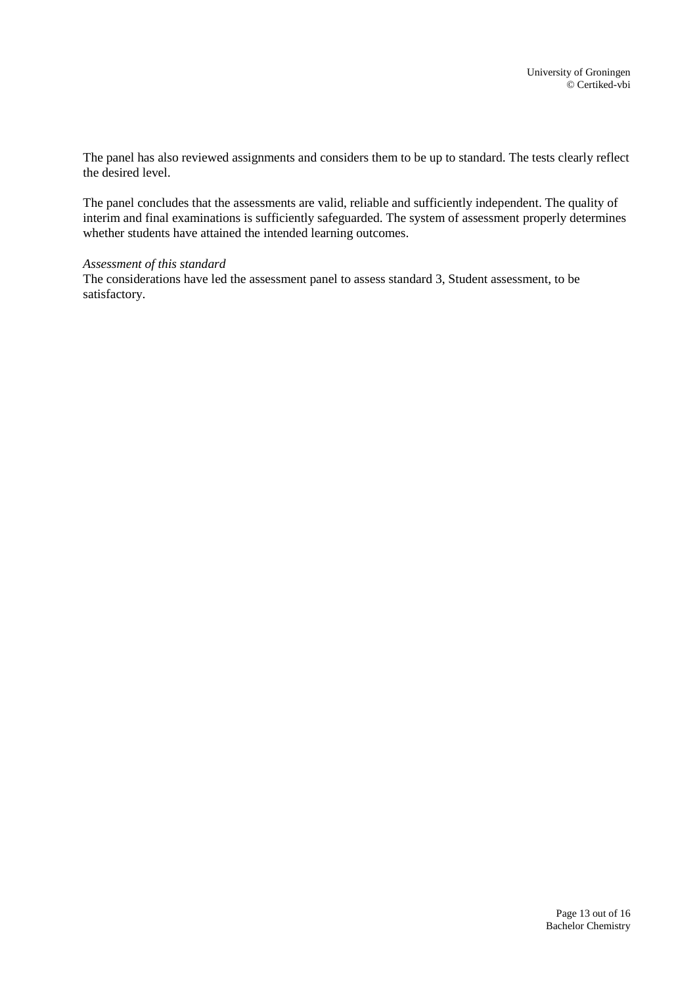The panel has also reviewed assignments and considers them to be up to standard. The tests clearly reflect the desired level.

The panel concludes that the assessments are valid, reliable and sufficiently independent. The quality of interim and final examinations is sufficiently safeguarded. The system of assessment properly determines whether students have attained the intended learning outcomes.

#### *Assessment of this standard*

The considerations have led the assessment panel to assess standard 3, Student assessment, to be satisfactory.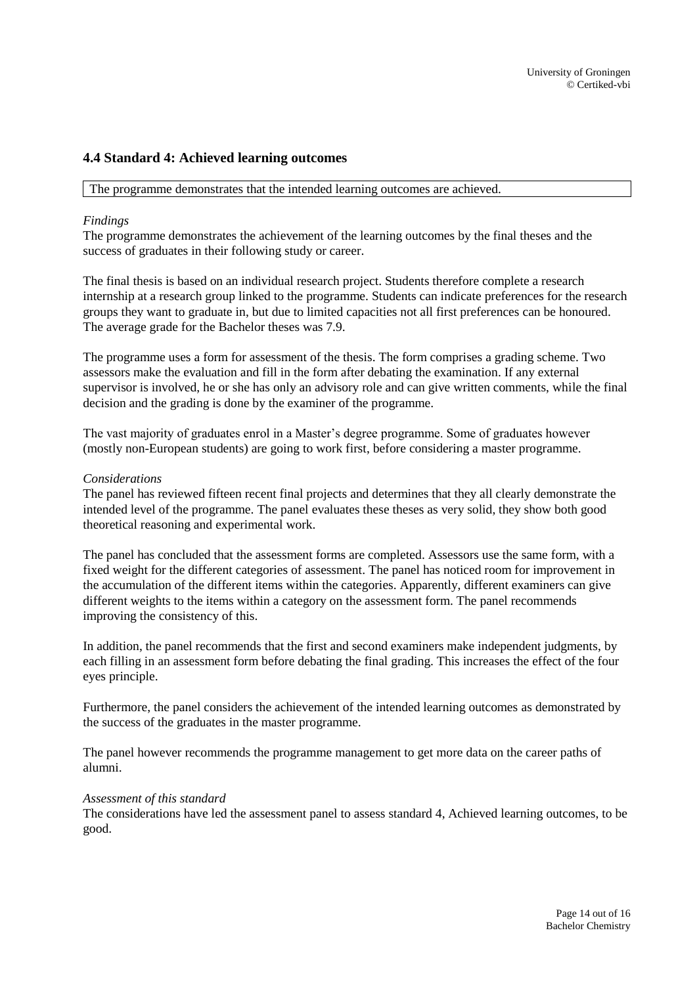## <span id="page-13-0"></span>**4.4 Standard 4: Achieved learning outcomes**

#### The programme demonstrates that the intended learning outcomes are achieved.

#### *Findings*

The programme demonstrates the achievement of the learning outcomes by the final theses and the success of graduates in their following study or career.

The final thesis is based on an individual research project. Students therefore complete a research internship at a research group linked to the programme. Students can indicate preferences for the research groups they want to graduate in, but due to limited capacities not all first preferences can be honoured. The average grade for the Bachelor theses was 7.9.

The programme uses a form for assessment of the thesis. The form comprises a grading scheme. Two assessors make the evaluation and fill in the form after debating the examination. If any external supervisor is involved, he or she has only an advisory role and can give written comments, while the final decision and the grading is done by the examiner of the programme.

The vast majority of graduates enrol in a Master's degree programme. Some of graduates however (mostly non-European students) are going to work first, before considering a master programme.

#### *Considerations*

The panel has reviewed fifteen recent final projects and determines that they all clearly demonstrate the intended level of the programme. The panel evaluates these theses as very solid, they show both good theoretical reasoning and experimental work.

The panel has concluded that the assessment forms are completed. Assessors use the same form, with a fixed weight for the different categories of assessment. The panel has noticed room for improvement in the accumulation of the different items within the categories. Apparently, different examiners can give different weights to the items within a category on the assessment form. The panel recommends improving the consistency of this.

In addition, the panel recommends that the first and second examiners make independent judgments, by each filling in an assessment form before debating the final grading. This increases the effect of the four eyes principle.

Furthermore, the panel considers the achievement of the intended learning outcomes as demonstrated by the success of the graduates in the master programme.

The panel however recommends the programme management to get more data on the career paths of alumni.

#### *Assessment of this standard*

The considerations have led the assessment panel to assess standard 4, Achieved learning outcomes, to be good.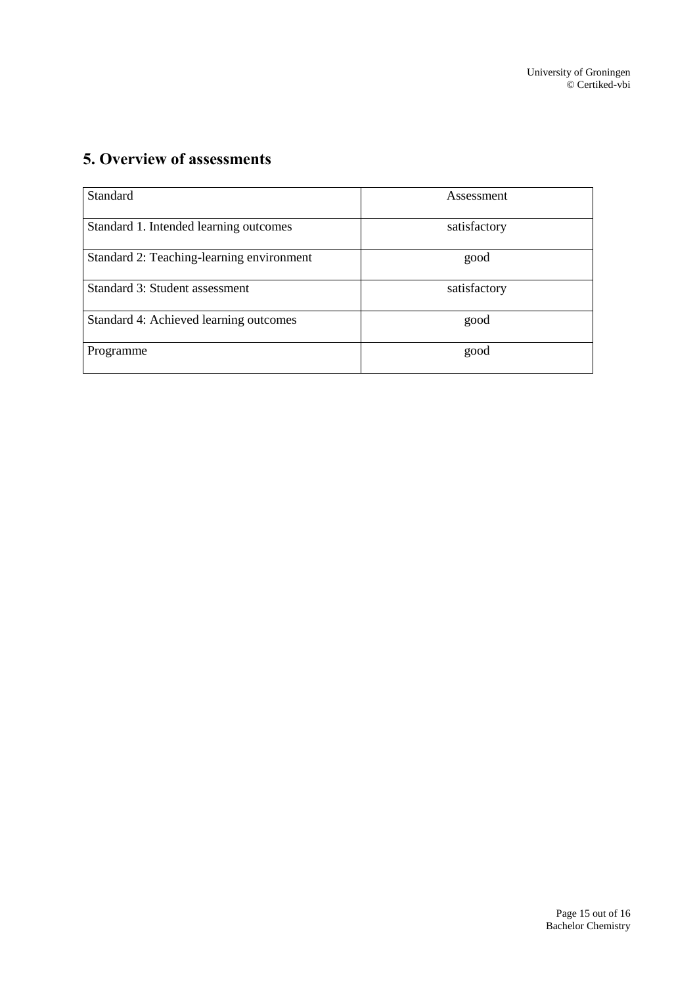# <span id="page-14-0"></span>**5. Overview of assessments**

| Standard                                  | Assessment   |
|-------------------------------------------|--------------|
| Standard 1. Intended learning outcomes    | satisfactory |
| Standard 2: Teaching-learning environment | good         |
| Standard 3: Student assessment            | satisfactory |
| Standard 4: Achieved learning outcomes    | good         |
| Programme                                 | good         |